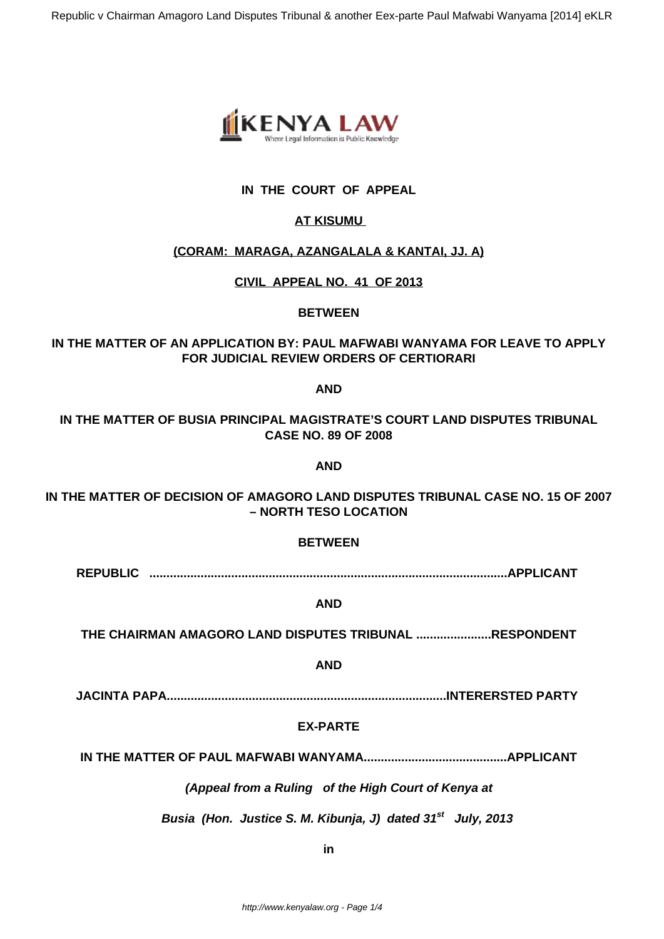

# **IN THE COURT OF APPEAL**

# **AT KISUMU**

## **(CORAM: MARAGA, AZANGALALA & KANTAI, JJ. A)**

## **CIVIL APPEAL NO. 41 OF 2013**

## **BETWEEN**

# **IN THE MATTER OF AN APPLICATION BY: PAUL MAFWABI WANYAMA FOR LEAVE TO APPLY FOR JUDICIAL REVIEW ORDERS OF CERTIORARI**

**AND**

**IN THE MATTER OF BUSIA PRINCIPAL MAGISTRATE'S COURT LAND DISPUTES TRIBUNAL CASE NO. 89 OF 2008**

**AND**

**IN THE MATTER OF DECISION OF AMAGORO LAND DISPUTES TRIBUNAL CASE NO. 15 OF 2007 – NORTH TESO LOCATION**

#### **BETWEEN**

**REPUBLIC .........................................................................................................APPLICANT**

#### **AND**

**THE CHAIRMAN AMAGORO LAND DISPUTES TRIBUNAL ......................RESPONDENT**

#### **AND**

**JACINTA PAPA..................................................................................INTERERSTED PARTY**

#### **EX-PARTE**

**IN THE MATTER OF PAUL MAFWABI WANYAMA..........................................APPLICANT**

#### **(Appeal from a Ruling of the High Court of Kenya at**

 **Busia (Hon. Justice S. M. Kibunja, J) dated 31st July, 2013**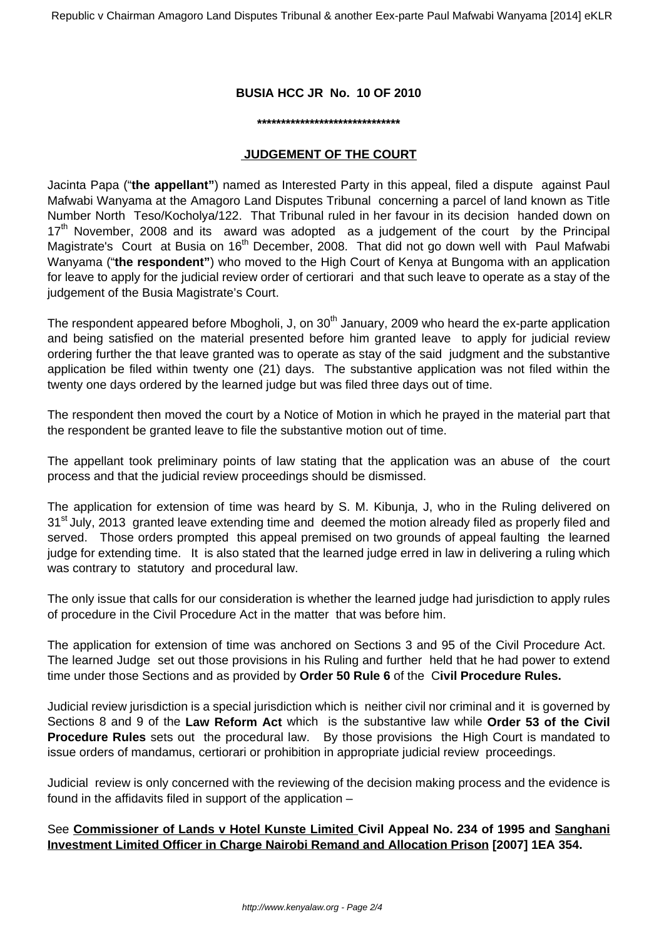#### **BUSIA HCC JR No. 10 OF 2010**

#### **\*\*\*\*\*\*\*\*\*\*\*\*\*\*\*\*\*\*\*\*\*\*\*\*\*\*\*\*\*\***

#### **JUDGEMENT OF THE COURT**

Jacinta Papa ("**the appellant"**) named as Interested Party in this appeal, filed a dispute against Paul Mafwabi Wanyama at the Amagoro Land Disputes Tribunal concerning a parcel of land known as Title Number North Teso/Kocholya/122. That Tribunal ruled in her favour in its decision handed down on  $17<sup>th</sup>$  November, 2008 and its award was adopted as a judgement of the court by the Principal Magistrate's Court at Busia on 16<sup>th</sup> December, 2008. That did not go down well with Paul Mafwabi Wanyama ("**the respondent"**) who moved to the High Court of Kenya at Bungoma with an application for leave to apply for the judicial review order of certiorari and that such leave to operate as a stay of the judgement of the Busia Magistrate's Court.

The respondent appeared before Mbogholi, J, on  $30<sup>th</sup>$  January, 2009 who heard the ex-parte application and being satisfied on the material presented before him granted leave to apply for judicial review ordering further the that leave granted was to operate as stay of the said judgment and the substantive application be filed within twenty one (21) days. The substantive application was not filed within the twenty one days ordered by the learned judge but was filed three days out of time.

The respondent then moved the court by a Notice of Motion in which he prayed in the material part that the respondent be granted leave to file the substantive motion out of time.

The appellant took preliminary points of law stating that the application was an abuse of the court process and that the judicial review proceedings should be dismissed.

The application for extension of time was heard by S. M. Kibunja, J, who in the Ruling delivered on 31<sup>st</sup> July, 2013 granted leave extending time and deemed the motion already filed as properly filed and served. Those orders prompted this appeal premised on two grounds of appeal faulting the learned judge for extending time. It is also stated that the learned judge erred in law in delivering a ruling which was contrary to statutory and procedural law.

The only issue that calls for our consideration is whether the learned judge had jurisdiction to apply rules of procedure in the Civil Procedure Act in the matter that was before him.

The application for extension of time was anchored on Sections 3 and 95 of the Civil Procedure Act. The learned Judge set out those provisions in his Ruling and further held that he had power to extend time under those Sections and as provided by **Order 50 Rule 6** of the C**ivil Procedure Rules.**

Judicial review jurisdiction is a special jurisdiction which is neither civil nor criminal and it is governed by Sections 8 and 9 of the **Law Reform Act** which is the substantive law while **Order 53 of the Civil Procedure Rules** sets out the procedural law. By those provisions the High Court is mandated to issue orders of mandamus, certiorari or prohibition in appropriate judicial review proceedings.

Judicial review is only concerned with the reviewing of the decision making process and the evidence is found in the affidavits filed in support of the application –

See **Commissioner of Lands v Hotel Kunste Limited Civil Appeal No. 234 of 1995 and Sanghani Investment Limited Officer in Charge Nairobi Remand and Allocation Prison [2007] 1EA 354.**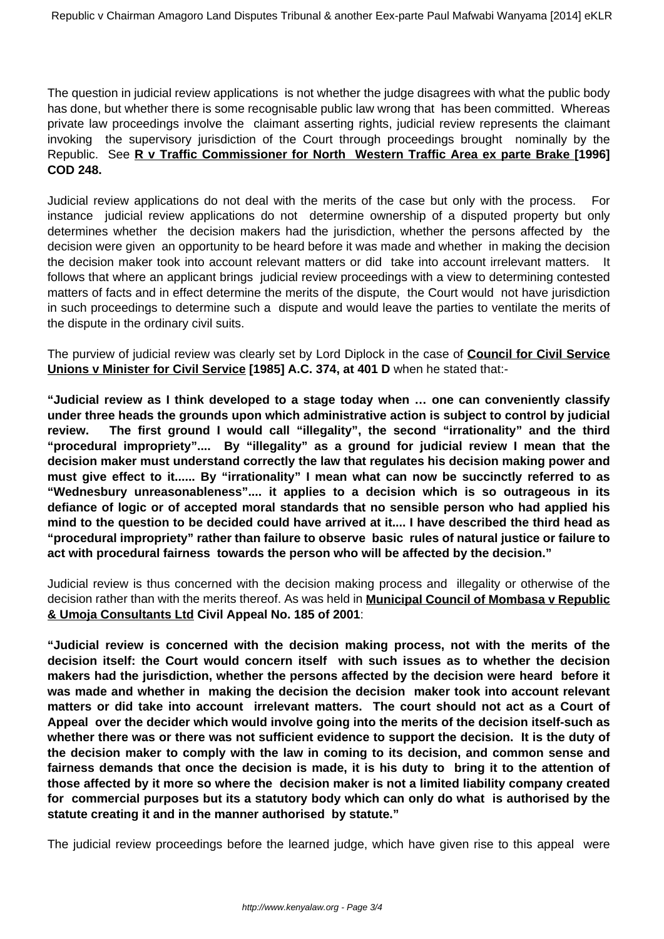The question in judicial review applications is not whether the judge disagrees with what the public body has done, but whether there is some recognisable public law wrong that has been committed. Whereas private law proceedings involve the claimant asserting rights, judicial review represents the claimant invoking the supervisory jurisdiction of the Court through proceedings brought nominally by the Republic. See **R v Traffic Commissioner for North Western Traffic Area ex parte Brake [1996] COD 248.**

Judicial review applications do not deal with the merits of the case but only with the process. For instance judicial review applications do not determine ownership of a disputed property but only determines whether the decision makers had the jurisdiction, whether the persons affected by the decision were given an opportunity to be heard before it was made and whether in making the decision the decision maker took into account relevant matters or did take into account irrelevant matters. It follows that where an applicant brings judicial review proceedings with a view to determining contested matters of facts and in effect determine the merits of the dispute, the Court would not have jurisdiction in such proceedings to determine such a dispute and would leave the parties to ventilate the merits of the dispute in the ordinary civil suits.

The purview of judicial review was clearly set by Lord Diplock in the case of **Council for Civil Service Unions v Minister for Civil Service [1985] A.C. 374, at 401 D** when he stated that:-

**"Judicial review as I think developed to a stage today when … one can conveniently classify under three heads the grounds upon which administrative action is subject to control by judicial review. The first ground I would call "illegality", the second "irrationality" and the third "procedural impropriety".... By "illegality" as a ground for judicial review I mean that the decision maker must understand correctly the law that regulates his decision making power and must give effect to it...... By "irrationality" I mean what can now be succinctly referred to as "Wednesbury unreasonableness".... it applies to a decision which is so outrageous in its defiance of logic or of accepted moral standards that no sensible person who had applied his mind to the question to be decided could have arrived at it.... I have described the third head as "procedural impropriety" rather than failure to observe basic rules of natural justice or failure to act with procedural fairness towards the person who will be affected by the decision."**

Judicial review is thus concerned with the decision making process and illegality or otherwise of the decision rather than with the merits thereof. As was held in **Municipal Council of Mombasa v Republic & Umoja Consultants Ltd Civil Appeal No. 185 of 2001**:

**"Judicial review is concerned with the decision making process, not with the merits of the decision itself: the Court would concern itself with such issues as to whether the decision makers had the jurisdiction, whether the persons affected by the decision were heard before it was made and whether in making the decision the decision maker took into account relevant matters or did take into account irrelevant matters. The court should not act as a Court of Appeal over the decider which would involve going into the merits of the decision itself-such as whether there was or there was not sufficient evidence to support the decision. It is the duty of the decision maker to comply with the law in coming to its decision, and common sense and fairness demands that once the decision is made, it is his duty to bring it to the attention of those affected by it more so where the decision maker is not a limited liability company created for commercial purposes but its a statutory body which can only do what is authorised by the statute creating it and in the manner authorised by statute."**

The judicial review proceedings before the learned judge, which have given rise to this appeal were